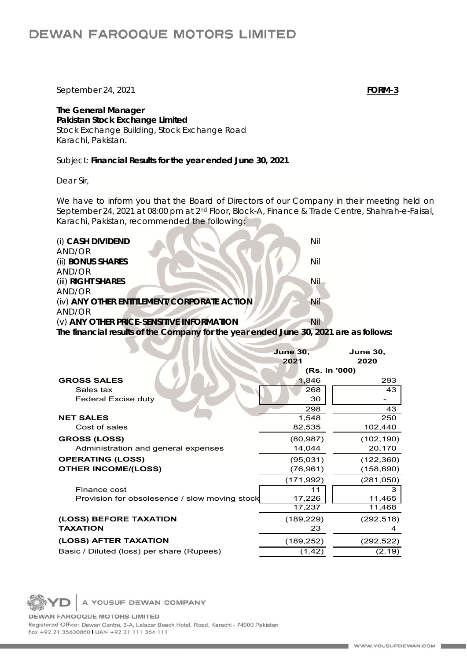## **DEWAN FAROOQUE MOTORS LIMITED**

September 24, 2021 **FORM-3**

**The General Manager Pakistan Stock Exchange Limited**  Stock Exchange Building, Stock Exchange Road Karachi, Pakistan.

Subject: **Financial Results for the year ended June 30, 2021**

Dear Sir,

We have to inform you that the Board of Directors of our Company in their meeting held on September 24, 2021 at 08:00 pm at 2nd Floor, Block-A, Finance & Trade Centre, Shahrah-e-Faisal, Karachi, Pakistan, recommended the following:

| (i) CASH DIVIDEND<br>AND/OR                                                           | Nil |
|---------------------------------------------------------------------------------------|-----|
| (ii) BONUS SHARES                                                                     | Nil |
| AND/OR                                                                                |     |
| (iii) RIGHT SHARES                                                                    | Nil |
| AND/OR                                                                                |     |
| (iv) ANY OTHER ENTITLEMENT/CORPORATE ACTION                                           | Nil |
| AND/OR                                                                                |     |
| (v) ANY OTHER PRICE-SENSITIVE INFORMATION                                             | Nil |
| The financial results of the Company for the year ended June 30, 2021 are as follows: |     |
|                                                                                       |     |

|                                               | <b>June 30,</b><br>2021 | <b>June 30,</b><br>2020 |
|-----------------------------------------------|-------------------------|-------------------------|
|                                               | (Rs. in '000)           |                         |
| <b>GROSS SALES</b>                            | 1,846                   | 293                     |
| Sales tax                                     | 268                     | 43                      |
| Federal Excise duty                           | 30                      |                         |
|                                               | 298                     | 43                      |
| <b>NET SALES</b>                              | 1,548                   | 250                     |
| Cost of sales                                 | 82,535                  | 102,440                 |
| <b>GROSS (LOSS)</b>                           | (80, 987)               | (102, 190)              |
| Administration and general expenses           | 14,044                  | 20,170                  |
| <b>OPERATING (LOSS)</b>                       | (95,031)                | (122, 360)              |
| <b>OTHER INCOME/(LOSS)</b>                    | (76, 961)               | (158,690)               |
|                                               | (171, 992)              | (281,050)               |
| Finance cost                                  | 11                      | 3                       |
| Provision for obsolesence / slow moving stock | 17,226                  | 11,465                  |
|                                               | 17,237                  | 11,468                  |
| (LOSS) BEFORE TAXATION                        | (189, 229)              | (292, 518)              |
| <b>TAXATION</b>                               | 23                      | 4                       |
| (LOSS) AFTER TAXATION                         | (189, 252)              | (292,522)               |
| Basic / Diluted (loss) per share (Rupees)     | (1.42)                  | (2.19)                  |

A YOUSUF DEWAN COMPANY

DEWAN FAROOQUE MOTORS LIMITED Registered Office: Dewan Centre, 3-A, Lalazar Beach Hotel, Road, Karachi - 74000 Pakistan Fax +92 21 35630860 | UAN +92 21 111 364 111